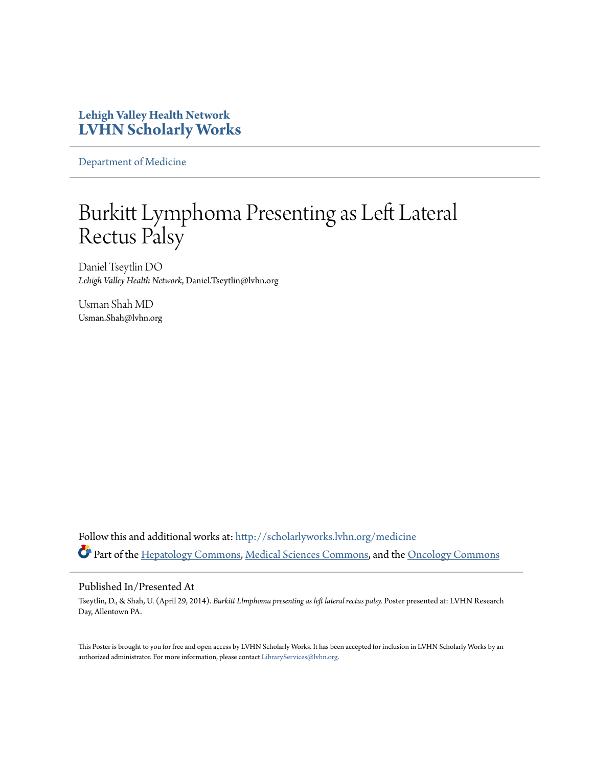### **Lehigh Valley Health Network [LVHN Scholarly Works](http://scholarlyworks.lvhn.org?utm_source=scholarlyworks.lvhn.org%2Fmedicine%2F478&utm_medium=PDF&utm_campaign=PDFCoverPages)**

[Department of Medicine](http://scholarlyworks.lvhn.org/medicine?utm_source=scholarlyworks.lvhn.org%2Fmedicine%2F478&utm_medium=PDF&utm_campaign=PDFCoverPages)

### Burkitt Lymphoma Presenting as Left Lateral Rectus Palsy

Daniel Tseytlin DO *Lehigh Valley Health Network*, Daniel.Tseytlin@lvhn.org

Usman Shah MD Usman.Shah@lvhn.org

Follow this and additional works at: [http://scholarlyworks.lvhn.org/medicine](http://scholarlyworks.lvhn.org/medicine?utm_source=scholarlyworks.lvhn.org%2Fmedicine%2F478&utm_medium=PDF&utm_campaign=PDFCoverPages) Part of the [Hepatology Commons,](http://network.bepress.com/hgg/discipline/1060?utm_source=scholarlyworks.lvhn.org%2Fmedicine%2F478&utm_medium=PDF&utm_campaign=PDFCoverPages) [Medical Sciences Commons](http://network.bepress.com/hgg/discipline/664?utm_source=scholarlyworks.lvhn.org%2Fmedicine%2F478&utm_medium=PDF&utm_campaign=PDFCoverPages), and the [Oncology Commons](http://network.bepress.com/hgg/discipline/694?utm_source=scholarlyworks.lvhn.org%2Fmedicine%2F478&utm_medium=PDF&utm_campaign=PDFCoverPages)

#### Published In/Presented At

Tseytlin, D., & Shah, U. (April 29, 2014). *Burkitt Llmphoma presenting as left lateral rectus palsy.* Poster presented at: LVHN Research Day, Allentown PA.

This Poster is brought to you for free and open access by LVHN Scholarly Works. It has been accepted for inclusion in LVHN Scholarly Works by an authorized administrator. For more information, please contact [LibraryServices@lvhn.org.](mailto:LibraryServices@lvhn.org)